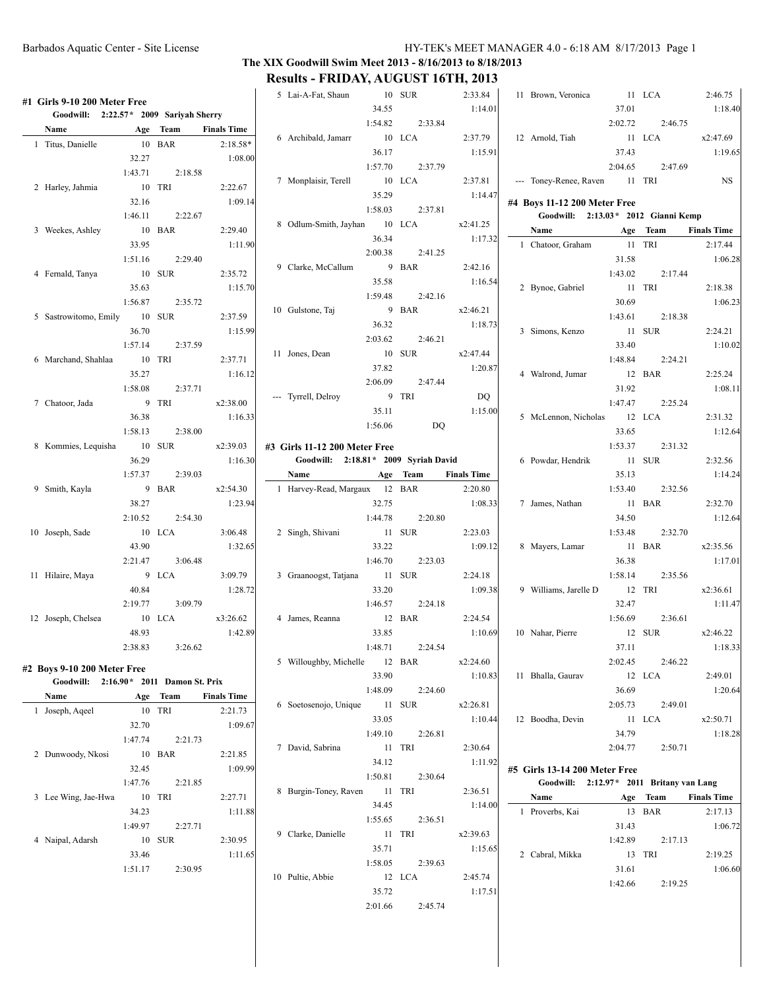# Barbados Aquatic Center - Site License HY-TEK's MEET MANAGER 4.0 - 6:18 AM 8/17/2013 Page 1

# **The XIX Goodwill Swim Meet 2013 - 8/16/2013 to 8/18/2013 Results - FRIDAY, AUGUST 16TH, 2013**

| #1 Girls 9-10 200 Meter Free           |         |          |                    | 5 Lai-A-Fat, Shaun                    | 10 SUR<br>34.55 |          | 2:33.84<br>1:14.01 | 11 Brown, Veronica                       | 37.01   | 11 LCA   | 2:46.75<br>1:18.40 |
|----------------------------------------|---------|----------|--------------------|---------------------------------------|-----------------|----------|--------------------|------------------------------------------|---------|----------|--------------------|
| Goodwill: 2:22.57* 2009 Sariyah Sherry |         |          |                    |                                       | 1:54.82         | 2:33.84  |                    |                                          | 2:02.72 | 2:46.75  |                    |
| Name                                   |         | Age Team | <b>Finals Time</b> | 6 Archibald, Jamarr                   |                 | 10 LCA   | 2:37.79            | 12 Arnold, Tiah                          |         | 11 LCA   | x2:47.69           |
| 1 Titus, Danielle                      |         | 10 BAR   | $2:18.58*$         |                                       | 36.17           |          | 1:15.91            |                                          | 37.43   |          | 1:19.65            |
|                                        | 32.27   |          | 1:08.00            |                                       | 1:57.70         | 2:37.79  |                    |                                          | 2:04.65 | 2:47.69  |                    |
|                                        | 1:43.71 | 2:18.58  |                    |                                       |                 |          |                    |                                          |         |          |                    |
| 2 Harley, Jahmia                       |         | 10 TRI   | 2:22.67            | 7 Monplaisir, Terell                  |                 | 10 LCA   | 2:37.81            | --- Toney-Renee, Raven 11 TRI            |         |          | <b>NS</b>          |
|                                        | 32.16   |          | 1:09.14            |                                       | 35.29           |          | 1:14.47            | #4 Boys 11-12 200 Meter Free             |         |          |                    |
|                                        | 1:46.11 | 2:22.67  |                    |                                       | 1:58.03         | 2:37.81  |                    | Goodwill: 2:13.03 * 2012 Gianni Kemp     |         |          |                    |
| 3 Weekes, Ashley                       | 10 BAR  |          | 2:29.40            | 8 Odlum-Smith, Jayhan 10 LCA          |                 |          | x2:41.25           | Name                                     |         | Age Team | <b>Finals Time</b> |
|                                        | 33.95   |          | 1:11.90            |                                       | 36.34           |          | 1:17.32            | 1 Chatoor, Graham                        |         | 11 TRI   | 2:17.44            |
|                                        | 1:51.16 | 2:29.40  |                    |                                       | 2:00.38         | 2:41.25  |                    |                                          | 31.58   |          | 1:06.28            |
| 4 Fernald, Tanya                       | 10 SUR  |          | 2:35.72            | 9 Clarke, McCallum                    |                 | 9 BAR    | 2:42.16            |                                          | 1:43.02 | 2:17.44  |                    |
|                                        |         |          |                    |                                       | 35.58           |          | 1:16.54            |                                          |         |          |                    |
|                                        | 35.63   |          | 1:15.70            |                                       | 1:59.48         | 2:42.16  |                    | 2 Bynoe, Gabriel                         |         | 11 TRI   | 2:18.38            |
|                                        | 1:56.87 | 2:35.72  |                    | 10 Gulstone, Taj                      |                 | 9 BAR    | x2:46.21           |                                          | 30.69   |          | 1:06.23            |
| 5 Sastrowitomo, Emily                  | 10 SUR  |          | 2:37.59            |                                       | 36.32           |          | 1:18.73            |                                          | 1:43.61 | 2:18.38  |                    |
|                                        | 36.70   |          | 1:15.99            |                                       | 2:03.62         | 2:46.21  |                    | 3 Simons, Kenzo                          |         | 11 SUR   | 2:24.21            |
|                                        | 1:57.14 | 2:37.59  |                    | 11 Jones, Dean                        |                 | 10 SUR   | x2:47.44           |                                          | 33.40   |          | 1:10.02            |
| 6 Marchand, Shahlaa                    |         | 10 TRI   | 2:37.71            |                                       | 37.82           |          | 1:20.87            |                                          | 1:48.84 | 2:24.21  |                    |
|                                        | 35.27   |          | 1:16.12            |                                       |                 |          |                    | 4 Walrond, Jumar                         |         | 12 BAR   | 2:25.24            |
|                                        | 1:58.08 | 2:37.71  |                    |                                       | 2:06.09         | 2:47.44  |                    |                                          | 31.92   |          | 1:08.11            |
| 7 Chatoor, Jada                        |         | 9 TRI    | x2:38.00           | --- Tyrrell, Delroy                   |                 | 9 TRI    | DQ.                |                                          | 1:47.47 | 2:25.24  |                    |
|                                        | 36.38   |          | 1:16.33            |                                       | 35.11           |          | 1:15.00            | 5 McLennon, Nicholas                     |         | 12 LCA   | 2:31.32            |
|                                        | 1:58.13 | 2:38.00  |                    |                                       | 1:56.06         | DQ       |                    |                                          | 33.65   |          | 1:12.64            |
| 8 Kommies, Lequisha                    | 10 SUR  |          | x2:39.03           | #3 Girls 11-12 200 Meter Free         |                 |          |                    |                                          | 1:53.37 | 2:31.32  |                    |
|                                        | 36.29   |          | 1:16.30            | Goodwill: 2:18.81 * 2009 Syriah David |                 |          |                    | 6 Powdar, Hendrik                        |         | 11 SUR   | 2:32.56            |
|                                        | 1:57.37 | 2:39.03  |                    | Name                                  |                 | Age Team | <b>Finals Time</b> |                                          | 35.13   |          | 1:14.24            |
|                                        |         |          |                    | 1 Harvey-Read, Margaux 12 BAR         |                 |          |                    |                                          |         |          |                    |
| 9 Smith, Kayla                         |         | 9 BAR    | x2:54.30           |                                       |                 |          | 2:20.80            |                                          | 1:53.40 | 2:32.56  |                    |
|                                        | 38.27   |          | 1:23.94            |                                       | 32.75           |          | 1:08.33            | 7 James, Nathan                          |         | 11 BAR   | 2:32.70            |
|                                        | 2:10.52 | 2:54.30  |                    |                                       | 1:44.78         | 2:20.80  |                    |                                          | 34.50   |          | 1:12.64            |
| 10 Joseph, Sade                        |         | 10 LCA   | 3:06.48            | 2 Singh, Shivani                      |                 | 11 SUR   | 2:23.03            |                                          | 1:53.48 | 2:32.70  |                    |
|                                        | 43.90   |          | 1:32.65            |                                       | 33.22           |          | 1:09.12            | 8 Mayers, Lamar                          |         | 11 BAR   | x2:35.56           |
|                                        | 2:21.47 | 3:06.48  |                    |                                       | 1:46.70         | 2:23.03  |                    |                                          | 36.38   |          | 1:17.01            |
| 11 Hilaire, Maya                       |         | 9 LCA    | 3:09.79            | 3 Graanoogst, Tatjana                 |                 | 11 SUR   | 2:24.18            |                                          | 1:58.14 | 2:35.56  |                    |
|                                        | 40.84   |          | 1:28.72            |                                       | 33.20           |          | 1:09.38            | 9 Williams, Jarelle D                    | 12 TRI  |          | x2:36.61           |
|                                        | 2:19.77 | 3:09.79  |                    |                                       | 1:46.57         | 2:24.18  |                    |                                          | 32.47   |          | 1:11.47            |
| 12 Joseph, Chelsea                     | 10 LCA  |          | x3:26.62           | 4 James, Reanna                       |                 | 12 BAR   | 2:24.54            |                                          | 1:56.69 | 2:36.61  |                    |
|                                        | 48.93   |          | 1:42.89            |                                       | 33.85           |          | 1:10.69            | 10 Nahar, Pierre                         |         | 12 SUR   | x2:46.22           |
|                                        | 2:38.83 | 3:26.62  |                    |                                       | 1:48.71         | 2:24.54  |                    |                                          | 37.11   |          | 1:18.33            |
|                                        |         |          |                    | 5 Willoughby, Michelle                |                 | 12 BAR   | x2:24.60           |                                          | 2:02.45 | 2:46.22  |                    |
| #2 Boys 9-10 200 Meter Free            |         |          |                    |                                       | 33.90           |          | 1:10.83            | 11 Bhalla, Gaurav                        |         | 12 LCA   | 2:49.01            |
| Goodwill: 2:16.90* 2011 Damon St. Prix |         |          |                    |                                       | 1:48.09         | 2:24.60  |                    |                                          | 36.69   |          | 1:20.64            |
| Name                                   |         | Age Team | <b>Finals Time</b> |                                       |                 |          |                    |                                          |         | 2:49.01  |                    |
| 1 Joseph, Aqeel                        |         | 10 TRI   | 2:21.73            | 6 Soetosenojo, Unique                 |                 | 11 SUR   | x2:26.81           |                                          | 2:05.73 |          |                    |
|                                        | 32.70   |          | 1:09.67            |                                       | 33.05           |          | 1:10.44            | 12 Boodha, Devin                         |         | 11 LCA   | x2:50.71           |
|                                        | 1:47.74 | 2:21.73  |                    |                                       | 1:49.10         | 2:26.81  |                    |                                          | 34.79   |          | 1:18.28            |
| 2 Dunwoody, Nkosi                      |         | 10 BAR   | 2:21.85            | 7 David, Sabrina                      |                 | 11 TRI   | 2:30.64            |                                          | 2:04.77 | 2:50.71  |                    |
|                                        | 32.45   |          | 1:09.99            |                                       | 34.12           |          | 1:11.92            | #5 Girls 13-14 200 Meter Free            |         |          |                    |
|                                        | 1:47.76 | 2:21.85  |                    |                                       | 1:50.81         | 2:30.64  |                    | Goodwill: 2:12.97* 2011 Britany van Lang |         |          |                    |
| 3 Lee Wing, Jae-Hwa                    |         | 10 TRI   | 2:27.71            | 8 Burgin-Toney, Raven                 | 11 TRI          |          | 2:36.51            | Name                                     |         | Age Team | <b>Finals Time</b> |
|                                        |         |          |                    |                                       | 34.45           |          | 1:14.00            |                                          |         | 13 BAR   |                    |
|                                        | 34.23   |          | 1:11.88            |                                       | 1:55.65         | 2:36.51  |                    | 1 Proverbs, Kai                          |         |          | 2:17.13            |
|                                        | 1:49.97 | 2:27.71  |                    | 9 Clarke, Danielle                    |                 | 11 TRI   | x2:39.63           |                                          | 31.43   |          | 1:06.72            |
| 4 Naipal, Adarsh                       |         | 10 SUR   | 2:30.95            |                                       | 35.71           |          | 1:15.65            |                                          | 1:42.89 | 2:17.13  |                    |
|                                        | 33.46   |          | 1:11.65            |                                       | 1:58.05         | 2:39.63  |                    | 2 Cabral, Mikka                          |         | 13 TRI   | 2:19.25            |
|                                        | 1:51.17 | 2:30.95  |                    | 10 Pultie, Abbie                      |                 | 12 LCA   | 2:45.74            |                                          | 31.61   |          | 1:06.60            |
|                                        |         |          |                    |                                       | 35.72           |          | 1:17.51            |                                          | 1:42.66 | 2:19.25  |                    |
|                                        |         |          |                    |                                       |                 |          |                    |                                          |         |          |                    |
|                                        |         |          |                    |                                       | 2:01.66         | 2:45.74  |                    |                                          |         |          |                    |
|                                        |         |          |                    |                                       |                 |          |                    |                                          |         |          |                    |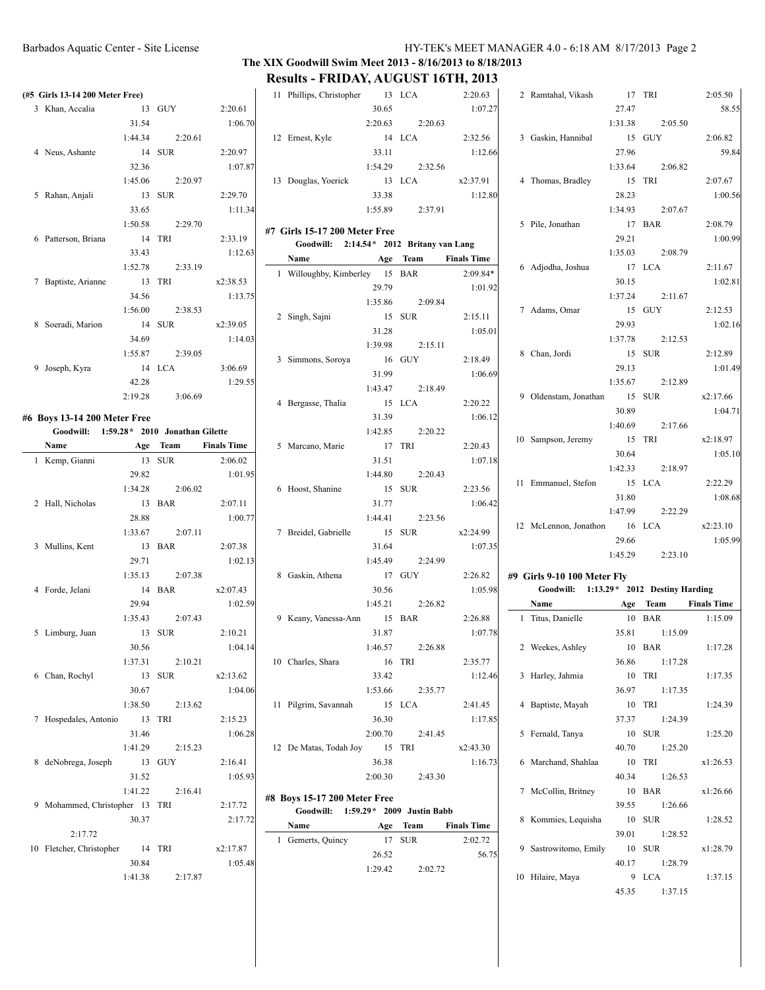# Barbados Aquatic Center - Site License HY-TEK's MEET MANAGER 4.0 - 6:18 AM 8/17/2013 Page 2

# **The XIX Goodwill Swim Meet 2013 - 8/16/2013 to 8/18/2013 Results - FRIDAY, AUGUST 16TH, 2013**

11 Phillips, Christopher 13 2:20.63

2:20.63 2:20.63 12:32.56

2:32.56 13 LCA x2:37.91

2:09.84 SUR 2:15.11

 $2:15.11$ GUY 2:18.49

2:18.49 1 Bergas 1:20.22

 $2:20.22$ 5 Marcano, Marie 17 TRI 2:20.43

 $2:20.43$ SUR 2:23.56

2:23.56 SUR x2:24.99

2:24.99 GUY 2:26.82

2:26.82 8 BAR 2:26.88

2:26.88 10 Charles, Shara 16 TRI 2:35.77

2:35.77 11.45 LCA 2:41.45

2:41.45 12 TRI  $x2:43.30$ 

**Team Finals Time** 1 SUR 2:02.72

**Name Age Team Finals Time** 1 BAR 2:09.84\*

1:07.27

33.11 1:12.66

33.38 1:12.80

1:01.92

31.28 1:05.01

1:06.69

31.39 1:06.12

31.51 1:07.18

1:06.42

1:07.35

1:05.98

1:07.78

33.42 1:12.46

36.30 1:17.85

36.38 1:16.73

56.75

|                                                                          |                 |         |                    |                                                                           |                  | 1.44211, 1.000011, 1.0111, 2.0001 |                          |
|--------------------------------------------------------------------------|-----------------|---------|--------------------|---------------------------------------------------------------------------|------------------|-----------------------------------|--------------------------|
| (#5 Girls 13-14 200 Meter Free)                                          |                 |         |                    | 11 Phillips, Christopher 13 LCA                                           |                  |                                   | 2:2                      |
| 3 Khan, Accalia                                                          |                 | 13 GUY  | 2:20.61            |                                                                           | 30.65            |                                   | $\overline{1}$           |
|                                                                          | 31.54           |         | 1:06.70            |                                                                           | 2:20.63          | 2:20.63                           |                          |
|                                                                          | 1:44.34         | 2:20.61 |                    | 12 Ernest, Kyle                                                           |                  | 14 LCA                            | 2:3'                     |
| 4 Neus, Ashante                                                          |                 | 14 SUR  | 2:20.97            |                                                                           | 33.11            |                                   | $\overline{1}$           |
|                                                                          | 32.36           |         | 1:07.87            |                                                                           | 1:54.29          | 2:32.56                           |                          |
|                                                                          | 1:45.06         | 2:20.97 |                    | 13 Douglas, Yoerick                                                       |                  | 13 LCA                            | x2:3'                    |
| 5 Rahan, Anjali                                                          |                 | 13 SUR  | 2:29.70            |                                                                           | 33.38            |                                   | $\mathbf{1}$             |
|                                                                          | 33.65           |         | 1:11.34            |                                                                           | 1:55.89          | 2:37.91                           |                          |
|                                                                          | 1:50.58         | 2:29.70 |                    |                                                                           |                  |                                   |                          |
| 6 Patterson, Briana                                                      | 14 TRI          |         | 2:33.19            | #7 Girls 15-17 200 Meter Free<br>Goodwill: 2:14.54* 2012 Britany van Lang |                  |                                   |                          |
|                                                                          | 33.43           |         | 1:12.63            | Name                                                                      |                  | Age Team                          | <b>Finals T</b>          |
|                                                                          | 1:52.78         | 2:33.19 |                    | 1 Willoughby, Kimberley 15 BAR                                            |                  |                                   | 2:0                      |
| 7 Baptiste, Arianne                                                      | 13 TRI          |         | x2:38.53           |                                                                           | 29.79            |                                   | $\overline{\phantom{0}}$ |
|                                                                          | 34.56           |         | 1:13.75            |                                                                           | 1:35.86          | 2:09.84                           |                          |
|                                                                          | 1:56.00         | 2:38.53 |                    | 2 Singh, Sajni                                                            |                  | 15 SUR                            | 2:1                      |
| 8 Soeradi, Marion                                                        |                 | 14 SUR  | x2:39.05           |                                                                           | 31.28            |                                   | $\overline{1}$           |
|                                                                          | 34.69           |         | 1:14.03            |                                                                           | 1:39.98          | 2:15.11                           |                          |
|                                                                          | 1:55.87         | 2:39.05 |                    |                                                                           |                  | 16 GUY                            | 2:1                      |
| 9 Joseph, Kyra                                                           |                 | 14 LCA  | 3:06.69            | 3 Simmons, Soroya                                                         | 31.99            |                                   |                          |
|                                                                          | 42.28           |         | 1:29.55            |                                                                           | 1:43.47          |                                   | $\overline{1}$           |
|                                                                          | 2:19.28         | 3:06.69 |                    |                                                                           |                  | 2:18.49                           | 2:2                      |
|                                                                          |                 |         |                    | 4 Bergasse, Thalia                                                        |                  | 15 LCA                            |                          |
| #6 Boys 13-14 200 Meter Free<br>Goodwill: 1:59.28* 2010 Jonathan Gilette |                 |         |                    |                                                                           | 31.39<br>1:42.85 |                                   | $\overline{1}$           |
| Name                                                                     |                 |         | <b>Finals Time</b> |                                                                           |                  | 2:20.22<br>17 TRI                 | 2:2                      |
| <b>Age Team</b>                                                          |                 |         |                    | 5 Marcano, Marie                                                          |                  |                                   | $\overline{1}$           |
| 1 Kemp, Gianni                                                           | 13 SUR<br>29.82 |         | 2:06.02<br>1:01.95 |                                                                           | 31.51<br>1:44.80 | 2:20.43                           |                          |
|                                                                          | 1:34.28         | 2:06.02 |                    | 6 Hoost, Shanine                                                          |                  | 15 SUR                            | 2:2                      |
|                                                                          |                 |         |                    |                                                                           |                  |                                   | $\overline{1}$           |
| 2 Hall, Nicholas                                                         | 28.88           | 13 BAR  | 2:07.11<br>1:00.77 |                                                                           | 31.77<br>1:44.41 | 2:23.56                           |                          |
|                                                                          | 1:33.67         | 2:07.11 |                    | 7 Breidel, Gabrielle                                                      | 15 SUR           |                                   | x2:2                     |
| 3 Mullins, Kent                                                          | 13 BAR          |         | 2:07.38            |                                                                           | 31.64            |                                   | $\overline{1}$           |
|                                                                          | 29.71           |         | 1:02.13            |                                                                           | 1:45.49          | 2:24.99                           |                          |
|                                                                          | 1:35.13         | 2:07.38 |                    | 8 Gaskin, Athena                                                          | 17 GUY           |                                   | 2:2                      |
| 4 Forde, Jelani                                                          |                 | 14 BAR  | x2:07.43           |                                                                           | 30.56            |                                   | $\overline{1}$           |
|                                                                          | 29.94           |         | 1:02.59            |                                                                           | 1:45.21          | 2:26.82                           |                          |
|                                                                          | 1:35.43         | 2:07.43 |                    | 9 Keany, Vanessa-Ann                                                      |                  | 15 BAR                            | 2:2                      |
| 5 Limburg, Juan                                                          | 13 SUR          |         | 2:10.21            |                                                                           | 31.87            |                                   | $\overline{1}$           |
|                                                                          | 30.56           |         | 1:04.14            |                                                                           | 1:46.57          | 2:26.88                           |                          |
|                                                                          | 1:37.31         | 2:10.21 |                    | 10 Charles, Shara                                                         |                  | 16 TRI                            | 2:3                      |
| 6 Chan, Rochyl                                                           |                 | 13 SUR  | x2:13.62           |                                                                           | 33.42            |                                   | $\overline{1}$           |
|                                                                          | 30.67           |         | 1:04.06            |                                                                           | 1:53.66          | 2:35.77                           |                          |
|                                                                          | 1:38.50         | 2:13.62 |                    | 11 Pilgrim, Savannah                                                      |                  | 15 LCA                            | 2:4                      |
| 7 Hospedales, Antonio                                                    |                 | 13 TRI  | 2:15.23            |                                                                           | 36.30            |                                   | $\overline{1}$           |
|                                                                          | 31.46           |         | 1:06.28            |                                                                           | 2:00.70          | 2:41.45                           |                          |
|                                                                          | 1:41.29         | 2:15.23 |                    | 12 De Matas, Todah Joy                                                    |                  | 15 TRI                            | x2:4                     |
| 8 deNobrega, Joseph                                                      |                 | 13 GUY  | 2:16.41            |                                                                           | 36.38            |                                   | $\mathbf{1}$             |
|                                                                          | 31.52           |         | 1:05.93            |                                                                           | 2:00.30          | 2:43.30                           |                          |
|                                                                          | 1:41.22         | 2:16.41 |                    |                                                                           |                  |                                   |                          |
|                                                                          |                 |         |                    | #8 Boys 15-17 200 Meter Free                                              |                  |                                   |                          |
| 9 Mohammed, Christopher 13 TRI                                           | 30.37           |         | 2:17.72<br>2:17.72 | Goodwill:                                                                 |                  | 1:59.29 * 2009 Justin Babb        |                          |
| 2:17.72                                                                  |                 |         |                    | Name                                                                      |                  | Age Team                          | <b>Finals T</b>          |
| 10 Fletcher, Christopher                                                 | 14 TRI          |         | x2:17.87           | 1 Gemerts, Quincy                                                         |                  | 17 SUR                            | 2:0                      |
|                                                                          | 30.84           |         | 1:05.48            |                                                                           | 26.52            |                                   |                          |
|                                                                          | 1:41.38         | 2:17.87 |                    |                                                                           | 1:29.42          | 2:02.72                           |                          |
|                                                                          |                 |         |                    |                                                                           |                  |                                   |                          |

|   | 2 Ramtahal, Vikash 17                    |             | TRI                         | 2:05.50             |
|---|------------------------------------------|-------------|-----------------------------|---------------------|
|   |                                          | 27.47       |                             | 58.55               |
|   |                                          |             | 1:31.38 2:05.50             |                     |
|   | 3 Gaskin, Hannibal                       |             | 15 GUY                      | 2:06.82             |
|   |                                          | 27.96       |                             | 59.84               |
|   |                                          |             | 1:33.64 2:06.82             |                     |
|   | 4 Thomas, Bradley                        |             | 15 TRI                      | 2:07.67             |
|   |                                          | 28.23       |                             | 1:00.56             |
|   |                                          | 1:34.93     | 2:07.67                     |                     |
|   | 5 Pile, Jonathan                         |             | 17 BAR                      | 2:08.79             |
|   |                                          | 29.21       |                             | 1:00.99             |
|   |                                          |             | 1:35.03 2:08.79             |                     |
|   | 6 Adjodha, Joshua                        |             | 17 LCA                      | 2:11.67             |
|   |                                          | 30.15       |                             | 1:02.81             |
|   |                                          |             | $1:37.24$ $2:11.67$         |                     |
|   | 7 Adams, Omar                            |             | 15 GUY                      | 2:12.53             |
|   |                                          | 29.93       |                             | 1:02.16             |
|   |                                          |             | $1:37.78$ $2:12.53$         |                     |
|   | 8 Chan, Jordi                            |             | 15 SUR                      | 2:12.89             |
|   |                                          | 29.13       |                             | 1:01.49             |
|   |                                          |             | $1:35.67$ 2:12.89           |                     |
|   | 9 Oldenstam, Jonathan 15 SUR             |             |                             |                     |
|   |                                          |             |                             | x2:17.66<br>1:04.71 |
|   |                                          | 30.89       |                             |                     |
|   |                                          |             | 1:40.69 2:17.66             |                     |
|   | 10 Sampson, Jeremy                       |             | 15 TRI x2:18.97             |                     |
|   |                                          | 30.64       |                             | 1:05.10             |
|   |                                          |             | 1:42.33 2:18.97             |                     |
|   | 11 Emmanuel, Stefon                      |             | 15 LCA                      | 2:22.29             |
|   |                                          | 31.80       |                             | 1:08.68             |
|   |                                          |             | 1:47.99 2:22.29             |                     |
|   | 12 McLennon, Jonathon 16 LCA             |             |                             | x2:23.10            |
|   |                                          | 29.66       |                             | 1:05.99             |
|   |                                          |             | $1:45.29$ $2:23.10$         |                     |
|   | #9 Girls 9-10 100 Meter Fly              |             |                             |                     |
|   | Goodwill: 1:13.29 * 2012 Destiny Harding |             |                             |                     |
|   | <b>Name</b>                              |             | <b>Age Team Finals Time</b> |                     |
|   | 1 Titus, Danielle                        |             | 10 BAR                      | 1:15.09             |
|   |                                          |             | 35.81 1:15.09               |                     |
|   | 2 Weekes, Ashley                         |             | 10 BAR                      | 1:17.28             |
|   |                                          | 36.86       | 1:17.28                     |                     |
| 3 | Harley, Jahmia                           | 10          | TRI                         | 1:17.35             |
|   |                                          | 36.97       | 1:17.35                     |                     |
| 4 | Baptiste, Mayah                          | 10          | TRI                         | 1:24.39             |
|   |                                          | 37.37       | 1:24.39                     |                     |
| 5 | Fernald, Tanya                           | 10          | <b>SUR</b>                  | 1:25.20             |
|   |                                          | 40.70       | 1:25.20                     |                     |
| 6 | Marchand, Shahlaa                        | 10          | TRI                         | x1:26.53            |
|   |                                          | 40.34       | 1:26.53                     |                     |
|   | McCollin, Britney                        |             |                             |                     |
| 7 |                                          | 10          | BAR                         | x1:26.66            |
|   |                                          | 39.55       | 1:26.66                     |                     |
| 8 | Kommies, Lequisha                        | 10          | <b>SUR</b>                  | 1:28.52             |
|   |                                          | 39.01       | 1:28.52                     |                     |
| 9 | Sastrowitomo, Emily                      | 10<br>40 17 | <b>SUR</b><br>1.2879        | x1:28.79            |
|   |                                          |             |                             |                     |

40.17 1:28.79 10 Hilaire, Maya 9 LCA 1:37.15 45.35 1:37.15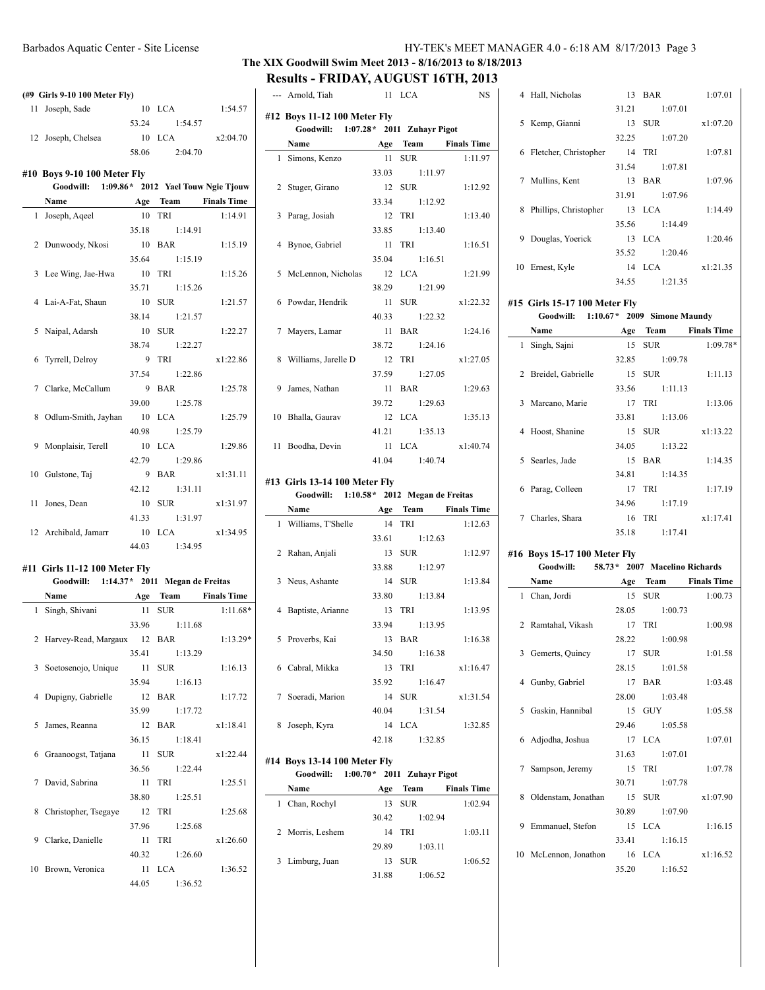# Barbados Aquatic Center - Site License HY-TEK's MEET MANAGER 4.0 - 6:18 AM 8/17/2013 Page 3

# **The XIX Goodwill Swim Meet 2013 - 8/16/2013 to 8/18/2013 Results - FRIDAY, AUGUST 16TH, 2013**

--- Arnold, Tiah 11 LCA NS

|    | (#9 Girls 9-10 100 Meter Fly)                |             |                       |            |
|----|----------------------------------------------|-------------|-----------------------|------------|
|    | 11 Joseph, Sade                              |             | 10 LCA                | 1:54.57    |
|    |                                              |             | 53.24 1:54.57         |            |
|    | 12 Joseph, Chelsea                           |             | $10$ LCA              | x2:04.70   |
|    |                                              | 58.06       | 2:04.70               |            |
|    | #10 Boys 9-10 100 Meter Fly                  |             |                       |            |
|    | Goodwill: 1:09.86* 2012 Yael Touw Ngie Tjouw |             |                       |            |
|    | Name                                         |             | Age Team Finals Time  |            |
| 1  | Joseph, Aqeel                                | 10          | TRI                   | 1:14.91    |
|    |                                              | 35.18       | 1:14.91               |            |
|    | 2 Dunwoody, Nkosi                            |             | 10 BAR                | 1:15.19    |
|    |                                              | 35.64       | 1:15.19               |            |
|    | 3 Lee Wing, Jae-Hwa                          | 10 TRI      |                       | 1:15.26    |
|    |                                              | 35.71       | 1:15.26               |            |
|    | 4 Lai-A-Fat, Shaun                           |             | 10 SUR                | 1:21.57    |
|    |                                              |             | 38.14 1:21.57         |            |
|    | 5 Naipal, Adarsh                             |             | 10 SUR                | 1:22.27    |
|    |                                              |             | 38.74 1:22.27         |            |
|    | 6 Tyrrell, Delroy                            |             | 9 TRI                 | x1:22.86   |
|    |                                              | 37.54       | 1:22.86               |            |
|    | 7 Clarke, McCallum                           |             | 9 BAR                 | 1:25.78    |
|    |                                              | 39.00       | 1:25.78               |            |
|    |                                              |             |                       |            |
|    | 8 Odlum-Smith, Jayhan                        |             | 10 LCA                | 1:25.79    |
|    |                                              | 40.98       | 1:25.79               |            |
|    | 9 Monplaisir, Terell                         |             | 10 LCA                | 1:29.86    |
|    |                                              | 42.79       | 1:29.86               |            |
|    | 10 Gulstone, Taj                             |             | 9 BAR                 | x1:31.11   |
|    |                                              |             | 42.12 1:31.11         |            |
|    | 11 Jones, Dean                               |             | 10 SUR                | x1:31.97   |
|    |                                              | 41.33       | 1:31.97               |            |
|    | 12 Archibald, Jamarr                         |             | 10 LCA                | x1:34.95   |
|    |                                              | 44.03       | 1:34.95               |            |
|    |                                              |             |                       |            |
|    | #11 Girls 11-12 100 Meter Fly                |             |                       |            |
|    | Goodwill: 1:14.37* 2011 Megan de Freitas     |             |                       |            |
|    | Name                                         |             | Age Team Finals Time  |            |
|    | 1 Singh, Shivani                             |             | 11 SUR                | $1:11.68*$ |
|    |                                              |             | 33.96 1:11.68         |            |
|    | 2 Harvey-Read, Margaux 12 BAR                |             |                       | $1:13.29*$ |
|    |                                              | 35.41       | 1:13.29               |            |
| 3  | Soetosenojo, Unique                          | 11          | <b>SUR</b>            | 1:16.13    |
|    |                                              | 35.94       | 1:16.13               |            |
| 4  | Dupigny, Gabrielle                           |             | <b>BAR</b>            |            |
|    |                                              | 12          |                       | 1:17.72    |
|    |                                              | 35.99       | 1:17.72               |            |
| 5  | James, Reanna                                | 12          | BAR                   | x1:18.41   |
|    |                                              | 36.15       | 1:18.41               |            |
| 6  | Graanoogst, Tatjana                          | 11          | <b>SUR</b>            | x1:22.44   |
|    |                                              | 36.56       | 1:22.44               |            |
| 7  | David, Sabrina                               | 11          | TRI                   | 1:25.51    |
|    |                                              | 38.80       | 1:25.51               |            |
| 8  | Christopher, Tsegaye                         | 12          | TRI                   | 1:25.68    |
|    |                                              | 37.96       | 1:25.68               |            |
| 9  |                                              |             |                       |            |
|    |                                              |             |                       |            |
|    | Clarke, Danielle                             | 11          | TRI                   | x1:26.60   |
|    |                                              | 40.32       | 1:26.60               |            |
| 10 | Brown, Veronica                              | 11<br>44.05 | <b>LCA</b><br>1:36.52 | 1:36.52    |

| #12 Boys 11-12 100 Meter Fly              |               |                 |
|-------------------------------------------|---------------|-----------------|
| Goodwill: 1:07.28 * 2011 Zuhayr Pigot     |               |                 |
| Name Age Team Finals Time                 |               |                 |
| 1 Simons, Kenzo                           | 11 SUR        | 1:11.97         |
|                                           | 33.03 1:11.97 |                 |
| 2 Stuger, Girano                          | 12 SUR        | 1:12.92         |
|                                           | 33.34 1:12.92 |                 |
| 3 Parag, Josiah                           | 12 TRI        | 1:13.40         |
|                                           | 33.85 1:13.40 |                 |
| 4 Bynoe, Gabriel 11 TRI                   |               | 1:16.51         |
|                                           | 35.04 1:16.51 |                 |
| 5 McLennon, Nicholas 12 LCA               |               | 1:21.99         |
|                                           | 38.29 1:21.99 |                 |
| 6 Powdar, Hendrik 11 SUR                  |               | x1:22.32        |
|                                           | 40.33 1:22.32 |                 |
| 7 Mayers, Lamar                           | 11 BAR        | 1:24.16         |
|                                           | 38.72 1:24.16 |                 |
| 8 Williams, Jarelle D                     | 12 TRI        | x1:27.05        |
|                                           | 37.59 1:27.05 |                 |
| 9 James, Nathan                           | 11 BAR        | 1:29.63         |
|                                           | 39.72 1:29.63 |                 |
| 10 Bhalla, Gaurav                         |               | 12 LCA 1:35.13  |
|                                           | 41.21 1:35.13 |                 |
| 11 Boodha, Devin                          |               | 11 LCA x1:40.74 |
|                                           | 41.04 1:40.74 |                 |
| #13 Girls 13-14 100 Meter Fly             |               |                 |
| Goodwill: 1:10.58 * 2012 Megan de Freitas |               |                 |
| Name Age Toom Finals Time                 |               |                 |

|   | Name                 | Age   | Team          | <b>Finals Time</b> |
|---|----------------------|-------|---------------|--------------------|
|   | 1 Williams, T'Shelle | 14    | TRI           | 1:12.63            |
|   |                      | 33.61 | 1:12.63       |                    |
|   | 2 Rahan, Anjali      |       | 13 SUR        | 1:12.97            |
|   |                      | 33.88 | 1:12.97       |                    |
|   | 3 Neus, Ashante      | 14    | <b>SUR</b>    | 1:13.84            |
|   |                      | 33.80 | 1:13.84       |                    |
|   | 4 Baptiste, Arianne  |       | 13 TRI        | 1:13.95            |
|   |                      |       | 33.94 1:13.95 |                    |
|   | 5 Proverbs, Kai      | 13    | <b>BAR</b>    | 1:16.38            |
|   |                      |       | 34.50 1:16.38 |                    |
|   | 6 Cabral, Mikka      |       | 13 TRI        | x1:16.47           |
|   |                      | 35.92 | 1:16.47       |                    |
|   | 7 Soeradi, Marion    |       | 14 SUR        | x1:31.54           |
|   |                      | 40.04 | 1:31.54       |                    |
| 8 | Joseph, Kyra         |       | 14 LCA        | 1:32.85            |
|   |                      | 42.18 | 1:32.85       |                    |
|   |                      |       |               |                    |

#### **#14 Boys 13-14 100 Meter Fly Goodwill: 1:00.70\* 2011 Zuhayr Pigot Name Age Team Finals Time**

| rvame            | Аºе   | теат       | rinais lime |
|------------------|-------|------------|-------------|
| 1 Chan, Rochyl   | 13    | <b>SUR</b> | 1:02.94     |
|                  | 30.42 | 1:02.94    |             |
| 2 Morris, Leshem | 14    | TRI        | 1:03.11     |
|                  | 29.89 | 1:03.11    |             |
| 3 Limburg, Juan  | 13    | <b>SUR</b> | 1:06.52     |
|                  | 31.88 | 1:06.52    |             |

|   | 4 Hall, Nicholas      | 13    | BAR           | 1:07.01  |
|---|-----------------------|-------|---------------|----------|
|   |                       | 31.21 | 1:07.01       |          |
| 5 | Kemp, Gianni          |       | 13 SUR        | x1:07.20 |
|   |                       | 32.25 | 1:07.20       |          |
| 6 | Fletcher, Christopher | 14    | - TRI         | 1:07.81  |
|   |                       |       | 31.54 1:07.81 |          |
|   | 7 Mullins, Kent       |       | 13 BAR        | 1:07.96  |
|   |                       | 31.91 | 1:07.96       |          |
| 8 | Phillips, Christopher |       | 13 LCA        | 1:14.49  |
|   |                       | 35.56 | 1:14.49       |          |
| 9 | Douglas, Yoerick      |       | $13$ LCA      | 1:20.46  |
|   |                       | 35.52 | 1:20.46       |          |
|   | 10 Ernest, Kyle       |       | $14$ LCA      | x1:21.35 |
|   |                       | 34.55 | 1:21.35       |          |
|   |                       |       |               |          |

### **#15 Girls 15-17 100 Meter Fly**

|   | Goodwill:            |       | 1:10.67* 2009 Simone Maundy |                    |
|---|----------------------|-------|-----------------------------|--------------------|
|   | Name                 | Age   | Team                        | <b>Finals Time</b> |
|   | 1 Singh, Sajni       | 15    | <b>SUR</b>                  | $1:09.78*$         |
|   |                      | 32.85 | 1:09.78                     |                    |
|   | 2 Breidel, Gabrielle | 15    | <b>SUR</b>                  | 1:11.13            |
|   |                      | 33.56 | 1:11.13                     |                    |
|   | 3 Marcano, Marie     |       | 17 TRI                      | 1:13.06            |
|   |                      | 33.81 | 1:13.06                     |                    |
|   | 4 Hoost, Shanine     |       | 15 SUR                      | x1:13.22           |
|   |                      | 34.05 | 1:13.22                     |                    |
| 5 | Searles, Jade        |       | 15 BAR                      | 1:14.35            |
|   |                      | 34.81 | 1:14.35                     |                    |
| 6 | Parag, Colleen       | 17    | TRI                         | 1:17.19            |
|   |                      | 34.96 | 1:17.19                     |                    |
| 7 | Charles, Shara       |       | 16 TRI                      | x1:17.41           |
|   |                      | 35.18 | 1:17.41                     |                    |
|   |                      |       |                             |                    |

#### **#16 Boys 15-17 100 Meter Fly**

| Goodwill: 58.73* 2007 Macelino Richards |  |               |                      |
|-----------------------------------------|--|---------------|----------------------|
| <b>Name</b>                             |  |               | Age Team Finals Time |
| 1 Chan, Jordi                           |  | 15 SUR        | 1:00.73              |
|                                         |  | 28.05 1:00.73 |                      |
| 2 Ramtahal, Vikash                      |  | 17 TRI        | 1:00.98              |
|                                         |  | 28.22 1:00.98 |                      |
| 3 Gemerts, Quincy                       |  | 17 SUR        | 1:01.58              |
|                                         |  | 28.15 1:01.58 |                      |
| 4 Gunby, Gabriel                        |  | 17 BAR        | 1:03.48              |
|                                         |  | 28.00 1:03.48 |                      |
| 5 Gaskin, Hannibal                      |  | 15 GUY        | 1:05.58              |
|                                         |  | 29.46 1:05.58 |                      |
| 6 Adjodha, Joshua                       |  | 17 LCA        | 1:07.01              |
|                                         |  | 31.63 1:07.01 |                      |
| 7 Sampson, Jeremy                       |  | 15 TRI        | 1:07.78              |
|                                         |  | 30.71 1:07.78 |                      |
| 8 Oldenstam, Jonathan                   |  | 15 SUR        | x1:07.90             |
|                                         |  | 30.89 1:07.90 |                      |
| 9 Emmanuel, Stefon                      |  | 15 LCA        | 1:16.15              |
|                                         |  | 33.41 1:16.15 |                      |
| 10 McLennon, Jonathon 16 LCA            |  |               | x1:16.52             |
|                                         |  | 35.20 1:16.52 |                      |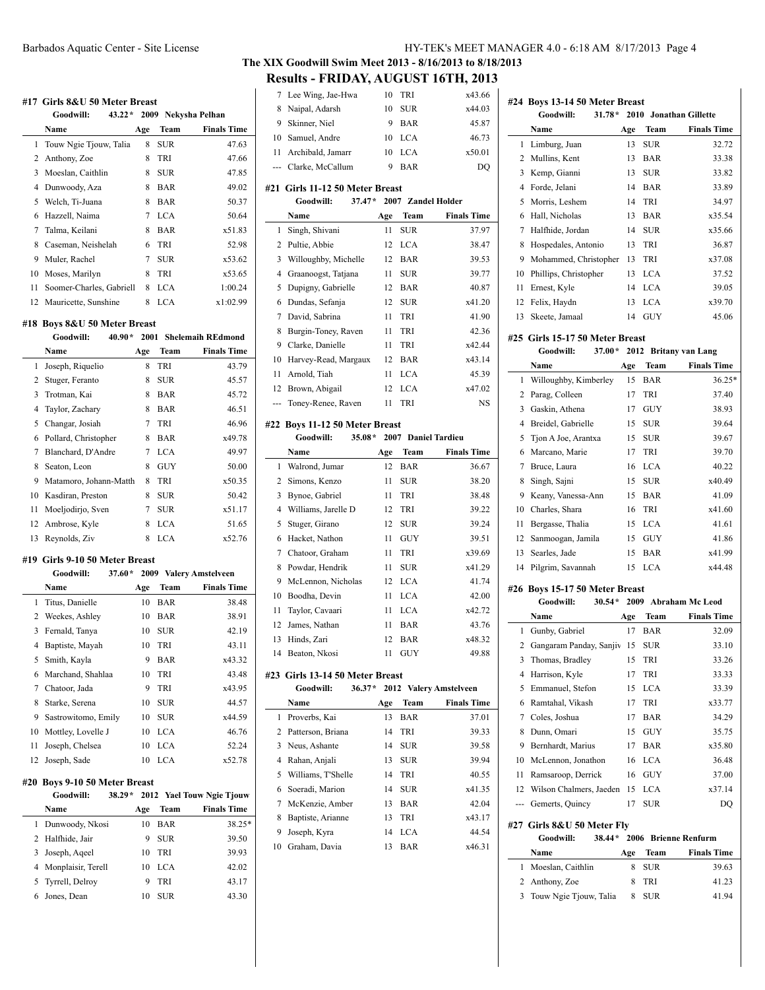#### **#17 Girls 8&U 50 Meter Breast**

|    | Goodwill:<br>$43.22*$    |     |            | 2009 Nekysha Pelhan |
|----|--------------------------|-----|------------|---------------------|
|    | Name                     | Age | Team       | <b>Finals Time</b>  |
| 1  | Touw Ngie Tjouw, Talia   | 8   | SUR        | 47.63               |
|    | 2 Anthony, Zoe           | 8   | TRI        | 47.66               |
| 3  | Moeslan, Caithlin        | 8   | <b>SUR</b> | 47.85               |
| 4  | Dunwoody, Aza            | 8   | BAR        | 49.02               |
| 5  | Welch, Ti-Juana          | 8   | <b>BAR</b> | 50.37               |
| 6  | Hazzell, Naima           | 7   | <b>LCA</b> | 50.64               |
| 7  | Talma, Keilani           | 8   | BAR        | x51.83              |
| 8  | Caseman, Neishelah       | 6   | TRI        | 52.98               |
| 9  | Muler, Rachel            | 7   | <b>SUR</b> | x53.62              |
| 10 | Moses, Marilyn           | 8   | TRI        | x53.65              |
| 11 | Soomer-Charles, Gabriell | 8   | <b>LCA</b> | 1:00.24             |
| 12 | Mauricette, Sunshine     | 8   | LCA        | x1:02.99            |

#### **#18 Boys 8&U 50 Meter Breast**

|    | Goodwill:              | $40.90*$ |     |            | 2001 Shelemaih REdmond |
|----|------------------------|----------|-----|------------|------------------------|
|    | Name                   |          | Age | Team       | <b>Finals Time</b>     |
| 1  | Joseph, Riquelio       |          | 8   | TRI        | 43.79                  |
| 2  | Stuger, Feranto        |          | 8   | <b>SUR</b> | 45.57                  |
| 3  | Trotman, Kai           |          | 8   | <b>BAR</b> | 45.72                  |
| 4  | Taylor, Zachary        |          | 8   | BAR        | 46.51                  |
| 5  | Changar, Josiah        |          | 7   | TRI        | 46.96                  |
| 6  | Pollard, Christopher   |          | 8   | BAR        | x49.78                 |
| 7  | Blanchard, D'Andre     |          | 7   | <b>LCA</b> | 49.97                  |
| 8  | Seaton, Leon           |          | 8   | GUY        | 50.00                  |
| 9  | Matamoro, Johann-Matth |          | 8   | TRI        | x50.35                 |
| 10 | Kasdiran, Preston      |          | 8   | SUR        | 50.42                  |
| 11 | Moeljodirjo, Sven      |          | 7   | SUR        | x51.17                 |
| 12 | Ambrose, Kyle          |          | 8   | <b>LCA</b> | 51.65                  |
| 13 | Reynolds, Ziv          |          | 8   | LCA        | x52.76                 |

#### **#19 Girls 9-10 50 Meter Breast**

|    | Goodwill:<br>$37.60*$ |     | 2009 Valery Amstelveen |                    |  |  |
|----|-----------------------|-----|------------------------|--------------------|--|--|
|    | Name                  | Age | Team                   | <b>Finals Time</b> |  |  |
|    | 1 Titus, Danielle     | 10  | BAR                    | 38.48              |  |  |
| 2  | Weekes, Ashley        | 10  | BAR                    | 38.91              |  |  |
| 3  | Fernald, Tanya        | 10  | <b>SUR</b>             | 42.19              |  |  |
| 4  | Baptiste, Mayah       | 10  | TRI                    | 43.11              |  |  |
| 5  | Smith, Kayla          | 9   | BAR                    | x43.32             |  |  |
| 6  | Marchand, Shahlaa     | 10  | <b>TRI</b>             | 43.48              |  |  |
| 7  | Chatoor, Jada         | 9   | TRI                    | x43.95             |  |  |
| 8  | Starke, Serena        | 10  | <b>SUR</b>             | 44.57              |  |  |
| 9  | Sastrowitomo, Emily   | 10  | <b>SUR</b>             | x44.59             |  |  |
| 10 | Mottley, Lovelle J    | 10  | <b>LCA</b>             | 46.76              |  |  |
| 11 | Joseph, Chelsea       | 10  | <b>LCA</b>             | 52.24              |  |  |
| 12 | Joseph, Sade          | 10  | <b>LCA</b>             | x52.78             |  |  |

#### **#20 Boys 9-10 50 Meter Breast**

| 20 DOYS 7-10 50 MICRET DI CASE |          |             |                           |
|--------------------------------|----------|-------------|---------------------------|
| Goodwill:                      | $38.29*$ |             | 2012 Yael Touw Ngie Tiouw |
| Name                           | Age      | <b>Team</b> | <b>Finals Time</b>        |
| Dunwoody, Nkosi                | 10       | <b>BAR</b>  | 38.25*                    |
| 2 Halfhide, Jair               | 9        | <b>SUR</b>  | 39.50                     |
| 3 Joseph, Aqeel                | 10       | TRI         | 39.93                     |
| 4 Monplaisir, Terell           | 10       | LCA.        | 42.02                     |
| 5 Tyrrell, Delroy              | 9        | <b>TRI</b>  | 43.17                     |
| Jones, Dean                    | 10       | <b>SUR</b>  | 43.30                     |
|                                |          |             |                           |

**#24 Boys 13-14 50 Meter Breast**

# **The XIX Goodwill Swim Meet 2013 - 8/16/2013 to 8/18/2013 Results - FRIDAY, AUGUST 16TH, 2013**

| 7     | Lee Wing, Jae-Hwa               | 10   | TRI        | x43.66                   |
|-------|---------------------------------|------|------------|--------------------------|
| 8     | Naipal, Adarsh                  | 10   | <b>SUR</b> | x44.03                   |
| 9     | Skinner, Niel                   | 9    | BAR        | 45.87                    |
| 10    | Samuel, Andre                   | 10   | <b>LCA</b> | 46.73                    |
| 11    | Archibald, Jamarr               | 10   | <b>LCA</b> | x50.01                   |
| $---$ | Clarke, McCallum                | 9    | BAR        | DQ                       |
|       |                                 |      |            |                          |
|       | #21 Girls 11-12 50 Meter Breast |      |            |                          |
|       | $37.47*$<br>Goodwill:           | 2007 |            | <b>Zandel Holder</b>     |
|       | Name                            | Age  | Team       | <b>Finals Time</b>       |
| 1     | Singh, Shivani                  | 11   | <b>SUR</b> | 37.97                    |
| 2     | Pultie, Abbie                   | 12   | <b>LCA</b> | 38.47                    |
| 3     | Willoughby, Michelle            | 12   | BAR        | 39.53                    |
| 4     | Graanoogst, Tatjana             | 11   | <b>SUR</b> | 39.77                    |
| 5     | Dupigny, Gabrielle              | 12   | BAR        | 40.87                    |
| 6     | Dundas, Sefanja                 | 12   | <b>SUR</b> | x41.20                   |
| 7     | David, Sabrina                  | 11   | TRI        | 41.90                    |
| 8     | Burgin-Toney, Raven             | 11   | TRI        | 42.36                    |
| 9     | Clarke, Danielle                | 11   | TRI        | x42.44                   |
| 10    | Harvey-Read, Margaux            | 12   | <b>BAR</b> | x43.14                   |
| 11    | Arnold, Tiah                    | 11   | <b>LCA</b> | 45.39                    |
|       |                                 |      |            |                          |
| 12    | Brown, Abigail                  | 12   | <b>LCA</b> | x47.02                   |
| ---   | Toney-Renee, Raven              | 11   | TRI        | NS                       |
|       | #22 Boys 11-12 50 Meter Breast  |      |            |                          |
|       | $35.08*$<br>Goodwill:           | 2007 |            | <b>Daniel Tardieu</b>    |
|       | Name                            | Age  | Team       | <b>Finals Time</b>       |
| 1     | Walrond, Jumar                  | 12   | <b>BAR</b> | 36.67                    |
| 2     | Simons, Kenzo                   | 11   | <b>SUR</b> | 38.20                    |
| 3     |                                 |      | TRI        | 38.48                    |
|       | Bynoe, Gabriel                  | 11   |            |                          |
| 4     | Williams, Jarelle D             | 12   | TRI        | 39.22                    |
| 5     | Stuger, Girano                  | 12   | <b>SUR</b> | 39.24                    |
| 6     | Hacket, Nathon                  | 11   | GUY        | 39.51                    |
| 7     | Chatoor, Graham                 | 11   | TRI        | x39.69                   |
| 8     | Powdar, Hendrik                 | 11   | <b>SUR</b> | x41.29                   |
| 9     | McLennon, Nicholas              | 12   | <b>LCA</b> | 41.74                    |
| 10    | Boodha, Devin                   | 11   | <b>LCA</b> | 42.00                    |
| 11    | Taylor, Cavaari                 | 11   | <b>LCA</b> | x42.72                   |
| 12    | James, Nathan                   | 11   | <b>BAR</b> | 43.76                    |
| 13    | Hinds, Zari                     | 12   | BAR        | x48.32                   |
| 14    | Beaton, Nkosi                   | 11   | GUY        | 49.88                    |
|       |                                 |      |            |                          |
|       | #23 Girls 13-14 50 Meter Breast |      |            |                          |
|       | $36.37*$<br>Goodwill:           | 2012 |            | <b>Valery Amstelveen</b> |
|       | Name                            | Age  | Team       | <b>Finals Time</b>       |
| 1     | Proverbs, Kai                   | 13   | BAR        | 37.01                    |
| 2     | Patterson, Briana               | 14   | TRI        | 39.33                    |
| 3     | Neus, Ashante                   | 14   | <b>SUR</b> | 39.58                    |
| 4     | Rahan, Anjali                   | 13   | SUR        | 39.94                    |
| 5     | Williams, T'Shelle              | 14   | TRI        | 40.55                    |
| 6     | Soeradi, Marion                 | 14   | SUR        | x41.35                   |
| 7     | McKenzie, Amber                 | 13   | BAR        | 42.04                    |
| 8     | Baptiste, Arianne               | 13   | TRI        | x43.17                   |
| 9     | Joseph, Kyra                    | 14   | <b>LCA</b> | 44.54                    |
| 10    | Graham, Davia                   | 13   | <b>BAR</b> | x46.31                   |
|       |                                 |      |            |                          |
|       |                                 |      |            |                          |
|       |                                 |      |            |                          |
|       |                                 |      |            |                          |
|       |                                 |      |            |                          |
|       |                                 |      |            |                          |

|    | Goodwill:<br>$31.78*$           |     |             | 2010 Jonathan Gillette |
|----|---------------------------------|-----|-------------|------------------------|
|    | Name                            | Age | <b>Team</b> | <b>Finals Time</b>     |
| 1  | Limburg, Juan                   | 13  | <b>SUR</b>  | 32.72                  |
| 2  | Mullins, Kent                   | 13  | <b>BAR</b>  | 33.38                  |
| 3  | Kemp, Gianni                    | 13  | <b>SUR</b>  | 33.82                  |
| 4  | Forde, Jelani                   | 14  | <b>BAR</b>  | 33.89                  |
| 5  | Morris, Leshem                  | 14  | TRI         | 34.97                  |
| 6  | Hall, Nicholas                  | 13  | <b>BAR</b>  | x35.54                 |
| 7  | Halfhide, Jordan                | 14  | <b>SUR</b>  | x35.66                 |
| 8  | Hospedales, Antonio             | 13  | TRI         | 36.87                  |
| 9  | Mohammed, Christopher           | 13  | TRI         | x37.08                 |
| 10 | Phillips, Christopher           | 13  | <b>LCA</b>  | 37.52                  |
| 11 | Ernest, Kyle                    | 14  | <b>LCA</b>  | 39.05                  |
| 12 | Felix, Haydn                    | 13  | <b>LCA</b>  | x39.70                 |
| 13 | Skeete, Jamaal                  | 14  | <b>GUY</b>  | 45.06                  |
|    | #25 Girls 15-17 50 Meter Breast |     |             |                        |
|    | $37.00*$<br>Goodwill:           |     |             | 2012 Britany van Lang  |
|    | Name                            | Age | Team        | <b>Finals Time</b>     |
| 1  | Willoughby, Kimberley           | 15  | <b>BAR</b>  | 36.25*                 |
| 2  | Parag, Colleen                  | 17  | TRI         | 37.40                  |
| 3  | Gaskin, Athena                  | 17  | GUY         | 38.93                  |
| 4  | Breidel, Gabrielle              | 15  | <b>SUR</b>  | 39.64                  |
| 5  | Tion A Joe, Arantxa             | 15  | <b>SUR</b>  | 39.67                  |
| 6  | Marcano, Marie                  | 17  | TRI         | 39.70                  |
| 7  | Bruce, Laura                    | 16  | LCA         | 40.22                  |
| 8  | Singh, Sajni                    | 15  | <b>SUR</b>  | x40.49                 |
| 9  | Keany, Vanessa-Ann              | 15  | <b>BAR</b>  | 41.09                  |
| 10 | Charles, Shara                  | 16  | TRI         | x41.60                 |
| 11 | Bergasse, Thalia                | 15  | <b>LCA</b>  | 41.61                  |
| 12 | Sanmoogan, Jamila               | 15  | <b>GUY</b>  | 41.86                  |
| 13 |                                 |     |             |                        |
|    | Searles, Jade                   | 15  | <b>BAR</b>  | x41.99                 |

#### **#26 Boys 15-17 50 Meter Breast**

|    | Goodwill:<br>$30.54*$      |     |             | 2009 Abraham Mc Leod |  |  |
|----|----------------------------|-----|-------------|----------------------|--|--|
|    | Name                       | Age | <b>Team</b> | <b>Finals Time</b>   |  |  |
| 1  | Gunby, Gabriel             | 17  | <b>BAR</b>  | 32.09                |  |  |
| 2  | Gangaram Panday, Sanjiv    | 15  | <b>SUR</b>  | 33.10                |  |  |
| 3  | Thomas, Bradley            | 15  | TRI         | 33.26                |  |  |
| 4  | Harrison, Kyle             | 17  | TRI         | 33.33                |  |  |
| 5  | Emmanuel, Stefon           | 15  | <b>LCA</b>  | 33.39                |  |  |
| 6  | Ramtahal, Vikash           | 17  | TRI         | x33.77               |  |  |
| 7  | Coles, Joshua              | 17  | <b>BAR</b>  | 34.29                |  |  |
| 8  | Dunn, Omari                | 15  | <b>GUY</b>  | 35.75                |  |  |
| 9  | Bernhardt, Marius          | 17  | <b>BAR</b>  | x35.80               |  |  |
| 10 | McLennon, Jonathon         | 16  | <b>LCA</b>  | 36.48                |  |  |
| 11 | Ramsaroop, Derrick         | 16  | <b>GUY</b>  | 37.00                |  |  |
| 12 | Wilson Chalmers, Jaeden    | 15  | <b>LCA</b>  | x37.14               |  |  |
|    | Gemerts, Quincy            | 17  | <b>SUR</b>  | DO                   |  |  |
|    | #27 Girls 8&U 50 Meter Fly |     |             |                      |  |  |
|    | Goodwill:<br>$38.44*$      |     |             | 2006 Brienne Renfurm |  |  |
|    | Name                       | Age | Team        | <b>Finals Time</b>   |  |  |
| 1  | Moeslan, Caithlin          | 8   | <b>SUR</b>  | 39.63                |  |  |
| 2  | Anthony, Zoe               | 8   | TRI         | 41.23                |  |  |

3 Touw Ngie Tjouw, Talia 8 SUR 41.94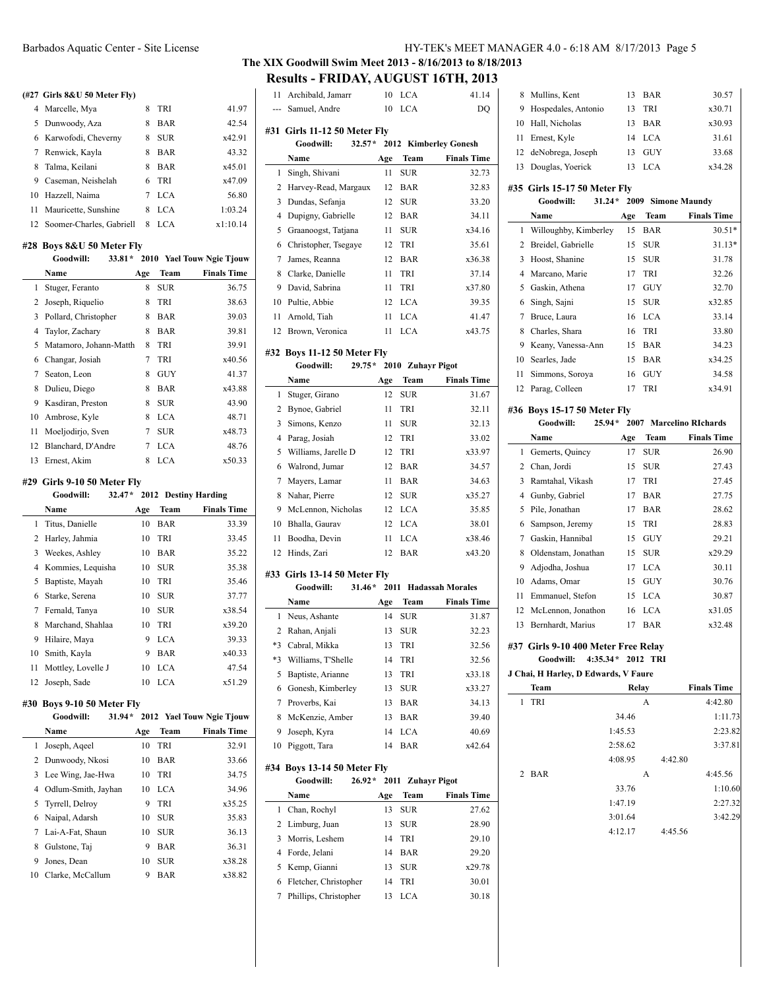#### **(#27 Girls 8&U 50 Meter Fly)**

| 4 Marcelle, Mya             | 8 | <b>TRI</b> | 41.97    |
|-----------------------------|---|------------|----------|
| 5 Dunwoody, Aza             | 8 | <b>BAR</b> | 42.54    |
| 6 Karwofodi, Cheverny       | 8 | <b>SUR</b> | x42.91   |
| 7 Renwick, Kayla            | 8 | BAR        | 43.32    |
| 8 Talma, Keilani            | 8 | <b>BAR</b> | x45.01   |
| 9 Caseman, Neishelah        |   | 6 TRI      | x47.09   |
| 10 Hazzell, Naima           | 7 | <b>LCA</b> | 56.80    |
| 11 Mauricette, Sunshine     | 8 | <b>LCA</b> | 1:03.24  |
| 12 Soomer-Charles, Gabriell | 8 | LCA.       | x1:10.14 |

# **#28 Boys 8&U 50 Meter Fly**

|    | Goodwill:<br>$33.81*$  |     |            | 2010 Yael Touw Ngie Tjouw |
|----|------------------------|-----|------------|---------------------------|
|    | Name                   | Age | Team       | <b>Finals Time</b>        |
| 1  | Stuger, Feranto        | 8   | SUR        | 36.75                     |
| 2  | Joseph, Riquelio       | 8   | <b>TRI</b> | 38.63                     |
| 3  | Pollard, Christopher   | 8   | BAR        | 39.03                     |
| 4  | Taylor, Zachary        | 8   | BAR        | 39.81                     |
| 5  | Matamoro, Johann-Matth | 8   | <b>TRI</b> | 39.91                     |
| 6  | Changar, Josiah        | 7   | TRI        | x40.56                    |
| 7  | Seaton, Leon           | 8   | GUY        | 41.37                     |
| 8  | Dulieu, Diego          | 8   | BAR        | x43.88                    |
| 9  | Kasdiran, Preston      | 8   | SUR        | 43.90                     |
| 10 | Ambrose, Kyle          | 8   | <b>LCA</b> | 48.71                     |
| 11 | Moeljodirjo, Sven      | 7   | SUR        | x48.73                    |
| 12 | Blanchard, D'Andre     | 7   | <b>LCA</b> | 48.76                     |
| 13 | Ernest, Akim           | 8   | <b>LCA</b> | x50.33                    |

#### **#29 Girls 9-10 50 Meter Fly**

|              | Goodwill:<br>$32.47*$ |     |            | 2012 Destiny Harding |
|--------------|-----------------------|-----|------------|----------------------|
|              | Name                  | Age | Team       | <b>Finals Time</b>   |
| $\mathbf{1}$ | Titus, Danielle       | 10  | BAR        | 33.39                |
| 2            | Harley, Jahmia        | 10  | TRI        | 33.45                |
| 3            | Weekes, Ashley        | 10  | <b>BAR</b> | 35.22                |
| 4            | Kommies, Lequisha     | 10  | <b>SUR</b> | 35.38                |
| 5            | Baptiste, Mayah       | 10  | TRI        | 35.46                |
| 6            | Starke, Serena        | 10  | <b>SUR</b> | 37.77                |
| 7            | Fernald, Tanya        | 10  | <b>SUR</b> | x38.54               |
| 8            | Marchand, Shahlaa     | 10  | TRI        | x39.20               |
| 9            | Hilaire, Maya         | 9   | LCA        | 39.33                |
| 10           | Smith, Kayla          | 9   | <b>BAR</b> | x40.33               |
| 11           | Mottley, Lovelle J    | 10  | LCA        | 47.54                |
| 12           | Joseph, Sade          | 10  | LCA.       | x51.29               |

### **#30 Boys 9-10 50 Meter Fly**

|    | Goodwill:<br>$31.94*$ |     |             | 2012 Yael Touw Ngie Tiouw |
|----|-----------------------|-----|-------------|---------------------------|
|    | Name                  | Age | <b>Team</b> | <b>Finals Time</b>        |
| 1  | Joseph, Ageel         | 10  | TRI         | 32.91                     |
|    | 2 Dunwoody, Nkosi     | 10  | <b>BAR</b>  | 33.66                     |
|    | 3 Lee Wing, Jae-Hwa   | 10  | <b>TRI</b>  | 34.75                     |
| 4  | Odlum-Smith, Jayhan   | 10  | LCA.        | 34.96                     |
|    | 5 Tyrrell, Delroy     | 9   | <b>TRI</b>  | x35.25                    |
|    | 6 Naipal, Adarsh      | 10  | <b>SUR</b>  | 35.83                     |
|    | 7 Lai-A-Fat, Shaun    | 10  | <b>SUR</b>  | 36.13                     |
| 8  | Gulstone, Taj         | 9   | <b>BAR</b>  | 36.31                     |
| 9  | Jones, Dean           | 10  | <b>SUR</b>  | x38.28                    |
| 10 | Clarke, McCallum      | 9   | <b>BAR</b>  | x38.82                    |

# Barbados Aquatic Center - Site License HY-TEK's MEET MANAGER 4.0 - 6:18 AM 8/17/2013 Page 5

# **The XIX Goodwill Swim Meet 2013 - 8/16/2013 to 8/18/2013 Results - FRIDAY, AUGUST 16TH, 2013**

| 11             | Archibald, Jamarr                                     | 10   | LCA               | 41.14                   |
|----------------|-------------------------------------------------------|------|-------------------|-------------------------|
|                | --- Samuel, Andre                                     | 10   | LCA               | DQ                      |
|                |                                                       |      |                   |                         |
|                | #31 Girls 11-12 50 Meter Fly<br>$32.57*$<br>Goodwill: |      |                   | 2012 Kimberley Gonesh   |
|                | Name                                                  | Age  | Team              | <b>Finals Time</b>      |
| 1              | Singh, Shivani                                        | 11   | <b>SUR</b>        | 32.73                   |
| 2              | Harvey-Read, Margaux                                  | 12   | <b>BAR</b>        | 32.83                   |
| 3              | Dundas, Sefanja                                       | 12   | <b>SUR</b>        | 33.20                   |
| 4              | Dupigny, Gabrielle                                    | 12   | BAR               | 34.11                   |
| 5              | Graanoogst, Tatjana                                   | 11   | <b>SUR</b>        | x34.16                  |
| 6              | Christopher, Tsegaye                                  | 12   | TRI               | 35.61                   |
| 7              | James, Reanna                                         | 12   | BAR               | x36.38                  |
| 8              | Clarke, Danielle                                      | 11   | TRI               | 37.14                   |
| 9              | David, Sabrina                                        | 11   | TRI               | x37.80                  |
| 10             |                                                       | 12   | LCA               |                         |
|                | Pultie, Abbie                                         |      |                   | 39.35                   |
| 11             | Arnold, Tiah                                          | 11   | <b>LCA</b>        | 41.47                   |
| 12             | Brown, Veronica                                       | 11   | <b>LCA</b>        | x43.75                  |
|                | #32 Boys 11-12 50 Meter Fly                           |      |                   |                         |
|                | 29.75*<br>Goodwill:                                   |      | 2010 Zuhayr Pigot |                         |
|                | Name                                                  | Age  | Team              | <b>Finals Time</b>      |
| 1              | Stuger, Girano                                        | 12   | <b>SUR</b>        | 31.67                   |
| 2              | Bynoe, Gabriel                                        | 11   | <b>TRI</b>        | 32.11                   |
| 3              | Simons, Kenzo                                         | 11   | <b>SUR</b>        | 32.13                   |
| $\overline{4}$ | Parag, Josiah                                         | 12   | TRI               | 33.02                   |
| 5              | Williams, Jarelle D                                   | 12   | TRI               | x33.97                  |
| 6              | Walrond, Jumar                                        | 12   | <b>BAR</b>        | 34.57                   |
| 7              | Mayers, Lamar                                         | 11   | <b>BAR</b>        | 34.63                   |
| 8              | Nahar, Pierre                                         | 12   | <b>SUR</b>        | x35.27                  |
| 9              | McLennon, Nicholas                                    | 12   | <b>LCA</b>        | 35.85                   |
| 10             | Bhalla, Gaurav                                        | 12   | <b>LCA</b>        | 38.01                   |
| 11             | Boodha, Devin                                         | 11   | LCA               | x38.46                  |
| 12             | Hinds, Zari                                           | 12   | <b>BAR</b>        | x43.20                  |
|                | #33 Girls 13-14 50 Meter Fly                          |      |                   |                         |
|                | Goodwill:<br>$31.46*$                                 | 2011 |                   | <b>Hadassah Morales</b> |
|                | Name                                                  | Age  | Team              | <b>Finals Time</b>      |
| 1              | Neus, Ashante                                         | 14   | <b>SUR</b>        | 31.87                   |
| 2              | Rahan, Anjali                                         | 13   | <b>SUR</b>        | 32.23                   |
|                | *3 Cabral, Mikka                                      | 13   | TRI               | 32.56                   |
| *3             | Williams, T'Shelle                                    | 14   | TRI               | 32.56                   |
| 5              | Baptiste, Arianne                                     | 13   | TRI               | x33.18                  |
| 6              | Gonesh, Kimberley                                     | 13   | <b>SUR</b>        | x33.27                  |
| 7              | Proverbs, Kai                                         | 13   | BAR               | 34.13                   |
| 8              | McKenzie, Amber                                       | 13   | <b>BAR</b>        | 39.40                   |
| 9              | Joseph, Kyra                                          | 14   | LCA               | 40.69                   |
| 10             | Piggott, Tara                                         | 14   | <b>BAR</b>        | x42.64                  |
|                | #34 Boys 13-14 50 Meter Fly                           |      |                   |                         |
|                | $26.92*$<br>Goodwill:                                 | 2011 |                   | <b>Zuhayr Pigot</b>     |
|                | Name                                                  | Age  | Team              | <b>Finals Time</b>      |
| 1              | Chan, Rochyl                                          | 13   | SUR               | 27.62                   |
| 2              | Limburg, Juan                                         | 13   | SUR               | 28.90                   |
| 3              | Morris, Leshem                                        | 14   | TRI               | 29.10                   |
| 4              | Forde, Jelani                                         | 14   | BAR               | 29.20                   |
| 5              | Kemp, Gianni                                          | 13   | <b>SUR</b>        | x29.78                  |
| 6              | Fletcher, Christopher                                 | 14   | TRI               | 30.01                   |
|                | Phillips, Christopher                                 | 13   | LCA               | 30.18                   |
| 7              |                                                       |      |                   |                         |

| 11<br>12<br>13<br>1                                                | Emmanuel, Stefon<br>McLennon, Jonathon<br>Bernhardt, Marius<br>#37 Girls 9-10 400 Meter Free Relay<br>Goodwill:<br>J Chai, H Harley, D Edwards, V Faure<br>Team<br>TRI | 15<br>16<br>17<br>4:35.34 * 2012 TRI<br>Relay<br>34.46<br>1:45.53<br>2:58.62<br>4:08.95 | <b>LCA</b><br><b>LCA</b><br><b>BAR</b><br>A | 30.87<br>x31.05<br>x32.48<br><b>Finals Time</b><br>4:42.80<br>1:11.73<br>2:23.82<br>3:37.81<br>4:42.80 |  |  |  |  |
|--------------------------------------------------------------------|------------------------------------------------------------------------------------------------------------------------------------------------------------------------|-----------------------------------------------------------------------------------------|---------------------------------------------|--------------------------------------------------------------------------------------------------------|--|--|--|--|
|                                                                    |                                                                                                                                                                        |                                                                                         |                                             |                                                                                                        |  |  |  |  |
|                                                                    |                                                                                                                                                                        |                                                                                         |                                             |                                                                                                        |  |  |  |  |
|                                                                    |                                                                                                                                                                        |                                                                                         |                                             |                                                                                                        |  |  |  |  |
|                                                                    |                                                                                                                                                                        |                                                                                         |                                             |                                                                                                        |  |  |  |  |
|                                                                    |                                                                                                                                                                        |                                                                                         |                                             |                                                                                                        |  |  |  |  |
|                                                                    |                                                                                                                                                                        |                                                                                         |                                             |                                                                                                        |  |  |  |  |
|                                                                    |                                                                                                                                                                        |                                                                                         |                                             |                                                                                                        |  |  |  |  |
|                                                                    |                                                                                                                                                                        |                                                                                         |                                             |                                                                                                        |  |  |  |  |
|                                                                    |                                                                                                                                                                        |                                                                                         |                                             |                                                                                                        |  |  |  |  |
|                                                                    |                                                                                                                                                                        |                                                                                         |                                             |                                                                                                        |  |  |  |  |
|                                                                    |                                                                                                                                                                        |                                                                                         |                                             |                                                                                                        |  |  |  |  |
|                                                                    |                                                                                                                                                                        |                                                                                         |                                             |                                                                                                        |  |  |  |  |
|                                                                    |                                                                                                                                                                        |                                                                                         |                                             |                                                                                                        |  |  |  |  |
| 10                                                                 | Adams, Omar                                                                                                                                                            | 15                                                                                      | <b>GUY</b>                                  | 30.76                                                                                                  |  |  |  |  |
| 9                                                                  | Adjodha, Joshua                                                                                                                                                        | 17                                                                                      | <b>LCA</b>                                  | 30.11                                                                                                  |  |  |  |  |
| 8                                                                  | Oldenstam, Jonathan                                                                                                                                                    | 15                                                                                      | <b>SUR</b>                                  | x29.29                                                                                                 |  |  |  |  |
| 7                                                                  | Gaskin, Hannibal                                                                                                                                                       | 15                                                                                      | GUY                                         | 29.21                                                                                                  |  |  |  |  |
| 6                                                                  | Sampson, Jeremy                                                                                                                                                        | 15                                                                                      | TRI                                         | 28.62<br>28.83                                                                                         |  |  |  |  |
| 5                                                                  | Pile, Jonathan                                                                                                                                                         | 17                                                                                      | <b>BAR</b>                                  |                                                                                                        |  |  |  |  |
| 4                                                                  | Gunby, Gabriel                                                                                                                                                         | 17                                                                                      | <b>BAR</b>                                  | 27.75                                                                                                  |  |  |  |  |
| 3                                                                  | Ramtahal, Vikash                                                                                                                                                       | 17                                                                                      | TRI                                         | 27.45                                                                                                  |  |  |  |  |
| $\overline{2}$                                                     | Chan, Jordi                                                                                                                                                            | 15                                                                                      | <b>SUR</b>                                  | 27.43                                                                                                  |  |  |  |  |
| 1                                                                  | Gemerts, Quincy                                                                                                                                                        | 17                                                                                      | <b>SUR</b>                                  | 26.90                                                                                                  |  |  |  |  |
|                                                                    | Goodwill:<br>Name                                                                                                                                                      | Age                                                                                     | Team                                        | <b>Finals Time</b>                                                                                     |  |  |  |  |
| #36 Boys 15-17 50 Meter Fly<br>$25.94*$<br>2007 Marcelino RIchards |                                                                                                                                                                        |                                                                                         |                                             |                                                                                                        |  |  |  |  |
|                                                                    |                                                                                                                                                                        |                                                                                         |                                             |                                                                                                        |  |  |  |  |
| 12                                                                 | Parag, Colleen                                                                                                                                                         | 17                                                                                      | TRI                                         | x34.91                                                                                                 |  |  |  |  |
| 11                                                                 | Simmons, Soroya                                                                                                                                                        | 16                                                                                      | <b>GUY</b>                                  | 34.58                                                                                                  |  |  |  |  |
| 10                                                                 | Searles, Jade                                                                                                                                                          | 15                                                                                      | <b>BAR</b>                                  | x34.25                                                                                                 |  |  |  |  |
| 9                                                                  | Keany, Vanessa-Ann                                                                                                                                                     | 15                                                                                      | <b>BAR</b>                                  | 34.23                                                                                                  |  |  |  |  |
| 8                                                                  | Charles, Shara                                                                                                                                                         | 16                                                                                      | TRI                                         | 33.80                                                                                                  |  |  |  |  |
| 7                                                                  | Bruce, Laura                                                                                                                                                           | 16                                                                                      | <b>LCA</b>                                  | 33.14                                                                                                  |  |  |  |  |
| 6                                                                  | Singh, Sajni                                                                                                                                                           | 15                                                                                      | <b>SUR</b>                                  | x32.85                                                                                                 |  |  |  |  |
| 5                                                                  | Gaskin, Athena                                                                                                                                                         | 17                                                                                      | <b>GUY</b>                                  | 32.70                                                                                                  |  |  |  |  |
| 4                                                                  | Marcano, Marie                                                                                                                                                         | 17                                                                                      | TRI                                         | 32.26                                                                                                  |  |  |  |  |
| 3                                                                  | Hoost, Shanine                                                                                                                                                         | 15                                                                                      | <b>SUR</b>                                  | 31.78                                                                                                  |  |  |  |  |
| 2                                                                  | Breidel, Gabrielle                                                                                                                                                     | 15                                                                                      | <b>SUR</b>                                  | $31.13*$                                                                                               |  |  |  |  |
| 1                                                                  | Willoughby, Kimberley                                                                                                                                                  | Age<br>15                                                                               | <b>BAR</b>                                  | $30.51*$                                                                                               |  |  |  |  |
|                                                                    | Goodwill:<br>$31.24*$<br>Name                                                                                                                                          |                                                                                         | Team                                        | <b>Finals Time</b>                                                                                     |  |  |  |  |
|                                                                    | 2009 Simone Maundy                                                                                                                                                     |                                                                                         |                                             |                                                                                                        |  |  |  |  |
|                                                                    | #35 Girls 15-17 50 Meter Fly                                                                                                                                           |                                                                                         |                                             |                                                                                                        |  |  |  |  |
| 13                                                                 | Douglas, Yoerick                                                                                                                                                       | 13                                                                                      | <b>LCA</b>                                  | x34.28                                                                                                 |  |  |  |  |
| 12                                                                 | deNobrega, Joseph                                                                                                                                                      | 13                                                                                      | <b>GUY</b>                                  | 33.68                                                                                                  |  |  |  |  |
| 11                                                                 | Ernest, Kyle                                                                                                                                                           | 14                                                                                      | <b>LCA</b>                                  | 31.61                                                                                                  |  |  |  |  |
| 10                                                                 | Hall, Nicholas                                                                                                                                                         | 13                                                                                      | <b>BAR</b>                                  | x30.93                                                                                                 |  |  |  |  |
|                                                                    | Hospedales, Antonio                                                                                                                                                    | 13                                                                                      | TRI                                         | x30.71                                                                                                 |  |  |  |  |
| 8<br>9                                                             | Mullins, Kent                                                                                                                                                          | 13                                                                                      | BAR                                         | 30.57                                                                                                  |  |  |  |  |

33.76 1:10.60 1:47.19 2:27.32 3:01.64 3:42.29

4:12.17 4:45.56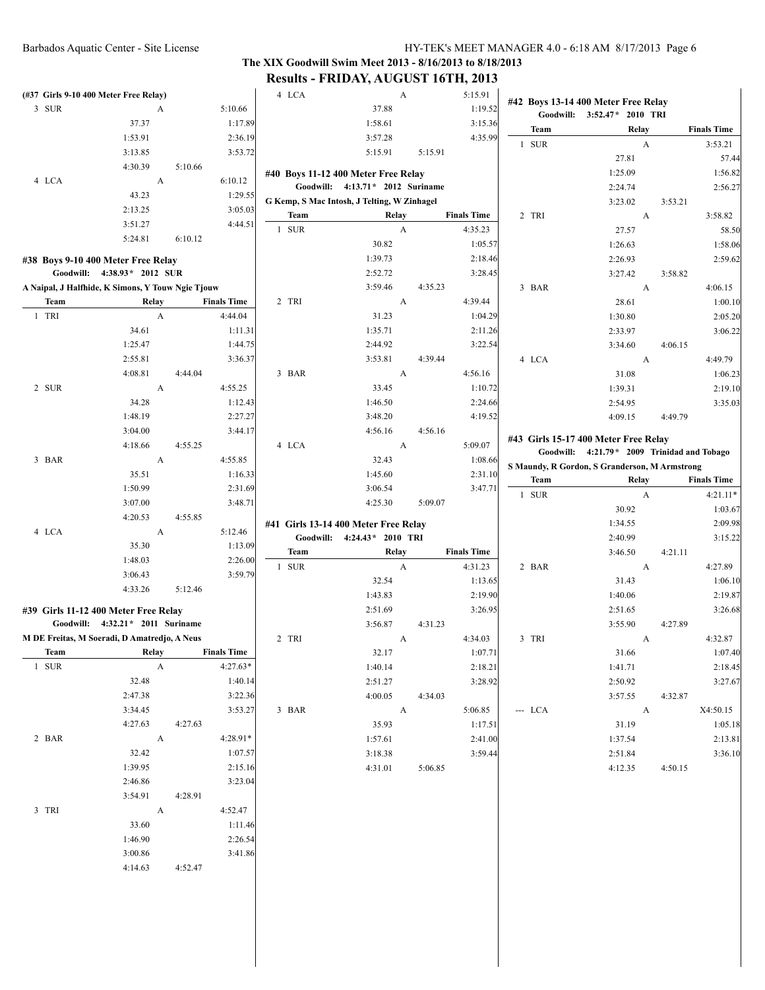# **The XIX Goodwill Swim Meet 2013 - 8/16/2013 to 8/18/2013 Results - FRIDAY, AUGUST 16TH, 2013**

| (#37 Girls 9-10 400 Meter Free Relay)             |                                  |         |                    | 4 LCA |                                             | A       | 5:15.91            |         | #42 Boys 13-14 400 Meter Free Relay                                                  |         |                    |
|---------------------------------------------------|----------------------------------|---------|--------------------|-------|---------------------------------------------|---------|--------------------|---------|--------------------------------------------------------------------------------------|---------|--------------------|
| 3 SUR                                             | A                                |         | 5:10.66            |       | 37.88                                       |         | 1:19.52            |         | Goodwill: 3:52.47* 2010 TRI                                                          |         |                    |
|                                                   | 37.37<br>1:53.91                 |         | 1:17.89            |       | 1:58.61                                     |         | 3:15.36<br>4:35.99 | Team    | Relay                                                                                |         | <b>Finals Time</b> |
|                                                   | 3:13.85                          |         | 2:36.19<br>3:53.72 |       | 3:57.28<br>5:15.91                          | 5:15.91 |                    | 1 SUR   | A                                                                                    |         | 3:53.21            |
|                                                   | 4:30.39                          | 5:10.66 |                    |       |                                             |         |                    |         | 27.81                                                                                |         | 57.44              |
| 4 LCA                                             | $\boldsymbol{A}$                 |         | 6:10.12            |       | #40 Boys 11-12 400 Meter Free Relay         |         |                    |         | 1:25.09                                                                              |         | 1:56.82            |
|                                                   | 43.23                            |         | 1:29.55            |       | Goodwill: 4:13.71 * 2012 Suriname           |         |                    |         | 2:24.74                                                                              |         | 2:56.27            |
|                                                   | 2:13.25                          |         | 3:05.03            |       | G Kemp, S Mac Intosh, J Telting, W Zinhagel |         |                    |         | 3:23.02                                                                              | 3:53.21 |                    |
|                                                   | 3:51.27                          |         | 4:44.51            | Team  | Relay                                       |         | <b>Finals Time</b> | 2 TRI   | A                                                                                    |         | 3:58.82            |
|                                                   | 5:24.81                          | 6:10.12 |                    | 1 SUR |                                             | A       | 4:35.23            |         | 27.57                                                                                |         | 58.50              |
|                                                   |                                  |         |                    |       | 30.82                                       |         | 1:05.57            |         | 1:26.63                                                                              |         | 1:58.06            |
| #38 Boys 9-10 400 Meter Free Relay                |                                  |         |                    |       | 1:39.73                                     |         | 2:18.46            |         | 2:26.93                                                                              |         | 2:59.62            |
|                                                   | Goodwill: 4:38.93* 2012 SUR      |         |                    |       | 2:52.72                                     |         | 3:28.45            |         | 3:27.42                                                                              | 3:58.82 |                    |
| A Naipal, J Halfhide, K Simons, Y Touw Ngie Tjouw |                                  |         |                    |       | 3:59.46                                     | 4:35.23 |                    | 3 BAR   | A                                                                                    |         | 4:06.15            |
| Team                                              | <b>Relay</b>                     |         | <b>Finals Time</b> | 2 TRI |                                             | A       | 4:39.44            |         | 28.61                                                                                |         | 1:00.10            |
| 1 TRI                                             | $\boldsymbol{A}$                 |         | 4:44.04            |       | 31.23                                       |         | 1:04.29            |         | 1:30.80                                                                              |         | 2:05.20            |
|                                                   | 34.61                            |         | 1:11.31            |       | 1:35.71                                     |         | 2:11.26            |         | 2:33.97                                                                              |         | 3:06.22            |
|                                                   | 1:25.47                          |         | 1:44.75            |       | 2:44.92                                     |         | 3:22.54            |         | 3:34.60                                                                              | 4:06.15 |                    |
|                                                   | 2:55.81                          |         | 3:36.37            |       | 3:53.81                                     | 4:39.44 |                    | 4 LCA   | A                                                                                    |         | 4:49.79            |
|                                                   | 4:08.81                          | 4:44.04 |                    | 3 BAR |                                             | A       | 4:56.16            |         | 31.08                                                                                |         | 1:06.23            |
| 2 SUR                                             | A                                |         | 4:55.25            |       | 33.45                                       |         | 1:10.72            |         | 1:39.31                                                                              |         | 2:19.10            |
|                                                   | 34.28                            |         | 1:12.43            |       | 1:46.50                                     |         | 2:24.66            |         | 2:54.95                                                                              |         | 3:35.03            |
|                                                   | 1:48.19                          |         | 2:27.27            |       | 3:48.20                                     |         | 4:19.52            |         | 4:09.15                                                                              | 4:49.79 |                    |
|                                                   | 3:04.00                          |         | 3:44.17            |       | 4:56.16                                     | 4:56.16 |                    |         |                                                                                      |         |                    |
|                                                   | 4:18.66                          | 4:55.25 |                    | 4 LCA |                                             | A       | 5:09.07            |         | #43 Girls 15-17 400 Meter Free Relay<br>Goodwill: 4:21.79 * 2009 Trinidad and Tobago |         |                    |
| 3 BAR                                             | A                                |         | 4:55.85            |       | 32.43                                       |         | 1:08.66            |         | S Maundy, R Gordon, S Granderson, M Armstrong                                        |         |                    |
|                                                   | 35.51                            |         | 1:16.33            |       | 1:45.60                                     |         | 2:31.10            | Team    | Relay                                                                                |         | <b>Finals Time</b> |
|                                                   | 1:50.99                          |         | 2:31.69            |       | 3:06.54                                     |         | 3:47.71            |         |                                                                                      |         | $4:21.11*$         |
|                                                   | 3:07.00                          |         | 3:48.71            |       | 4:25.30                                     | 5:09.07 |                    | 1 SUR   | A                                                                                    |         |                    |
|                                                   | 4:20.53                          | 4:55.85 |                    |       |                                             |         |                    |         | 30.92                                                                                |         | 1:03.67            |
| 4 LCA                                             | A                                |         | 5:12.46            |       | #41 Girls 13-14 400 Meter Free Relay        |         |                    |         | 1:34.55                                                                              |         | 2:09.98            |
|                                                   | 35.30                            |         | 1:13.09            |       | Goodwill: 4:24.43* 2010 TRI                 |         |                    |         | 2:40.99                                                                              |         | 3:15.22            |
|                                                   | 1:48.03                          |         | 2:26.00            | Team  | Relay                                       |         | <b>Finals Time</b> |         | 3:46.50                                                                              | 4:21.11 |                    |
|                                                   | 3:06.43                          |         | 3:59.79            | 1 SUR |                                             | A       | 4:31.23            | 2 BAR   | A                                                                                    |         | 4:27.89            |
|                                                   | 4:33.26                          | 5:12.46 |                    |       | 32.54                                       |         | 1:13.65            |         | 31.43                                                                                |         | 1:06.10            |
|                                                   |                                  |         |                    |       | 1:43.83                                     |         | 2:19.90            |         | 1:40.06                                                                              |         | 2:19.87            |
| #39 Girls 11-12 400 Meter Free Relay              |                                  |         |                    |       | 2:51.69                                     |         | 3:26.95            |         | 2:51.65                                                                              |         | 3:26.68            |
|                                                   | Goodwill: 4:32.21* 2011 Suriname |         |                    |       | 3:56.87                                     | 4:31.23 |                    |         | 3:55.90                                                                              | 4:27.89 |                    |
| M DE Freitas, M Soeradi, D Amatredjo, A Neus      |                                  |         |                    | 2 TRI |                                             | A       | 4:34.03            | 3 TRI   | A                                                                                    |         | 4:32.87            |
| Team                                              | Relay                            |         | <b>Finals Time</b> |       | 32.17                                       |         | 1:07.71            |         | 31.66                                                                                |         | 1:07.40            |
| 1 SUR                                             | $\mathbf{A}$                     |         | 4:27.63*           |       | 1:40.14                                     |         | 2:18.21            |         | 1:41.71                                                                              |         | 2:18.45            |
|                                                   | 32.48                            |         | 1:40.14            |       | 2:51.27                                     |         | 3:28.92            |         | 2:50.92                                                                              |         | 3:27.67            |
|                                                   | 2:47.38                          |         | 3:22.36            |       | 4:00.05                                     | 4:34.03 |                    |         | 3:57.55                                                                              | 4:32.87 |                    |
|                                                   | 3:34.45                          |         | 3:53.27            | 3 BAR | $\overline{A}$                              |         | 5:06.85            | --- LCA | $\mathbf{A}$                                                                         |         | X4:50.15           |
|                                                   | 4:27.63                          | 4:27.63 |                    |       | 35.93                                       |         | 1:17.51            |         | 31.19                                                                                |         | 1:05.18            |
| 2 BAR                                             | A                                |         | 4:28.91*           |       | 1:57.61                                     |         | 2:41.00            |         | 1:37.54                                                                              |         | 2:13.81            |
|                                                   | 32.42                            |         | 1:07.57            |       | 3:18.38                                     |         | 3:59.44            |         | 2:51.84                                                                              |         | 3:36.10            |
|                                                   | 1:39.95                          |         | 2:15.16            |       | 4:31.01                                     | 5:06.85 |                    |         | 4:12.35                                                                              | 4:50.15 |                    |
|                                                   | 2:46.86                          |         | 3:23.04            |       |                                             |         |                    |         |                                                                                      |         |                    |
|                                                   | 3:54.91                          | 4:28.91 |                    |       |                                             |         |                    |         |                                                                                      |         |                    |
| 3 TRI                                             | $\mathbf{A}$                     |         | 4:52.47            |       |                                             |         |                    |         |                                                                                      |         |                    |
|                                                   | 33.60                            |         | 1:11.46            |       |                                             |         |                    |         |                                                                                      |         |                    |
|                                                   | 1:46.90                          |         | 2:26.54            |       |                                             |         |                    |         |                                                                                      |         |                    |
|                                                   | 3:00.86                          |         | 3:41.86            |       |                                             |         |                    |         |                                                                                      |         |                    |
|                                                   | 4:14.63                          | 4:52.47 |                    |       |                                             |         |                    |         |                                                                                      |         |                    |
|                                                   |                                  |         |                    |       |                                             |         |                    |         |                                                                                      |         |                    |
|                                                   |                                  |         |                    |       |                                             |         |                    |         |                                                                                      |         |                    |
|                                                   |                                  |         |                    |       |                                             |         |                    |         |                                                                                      |         |                    |
|                                                   |                                  |         |                    |       |                                             |         |                    |         |                                                                                      |         |                    |
|                                                   |                                  |         |                    |       |                                             |         |                    |         |                                                                                      |         |                    |
|                                                   |                                  |         |                    |       |                                             |         |                    |         |                                                                                      |         |                    |

 $\overline{\phantom{a}}$